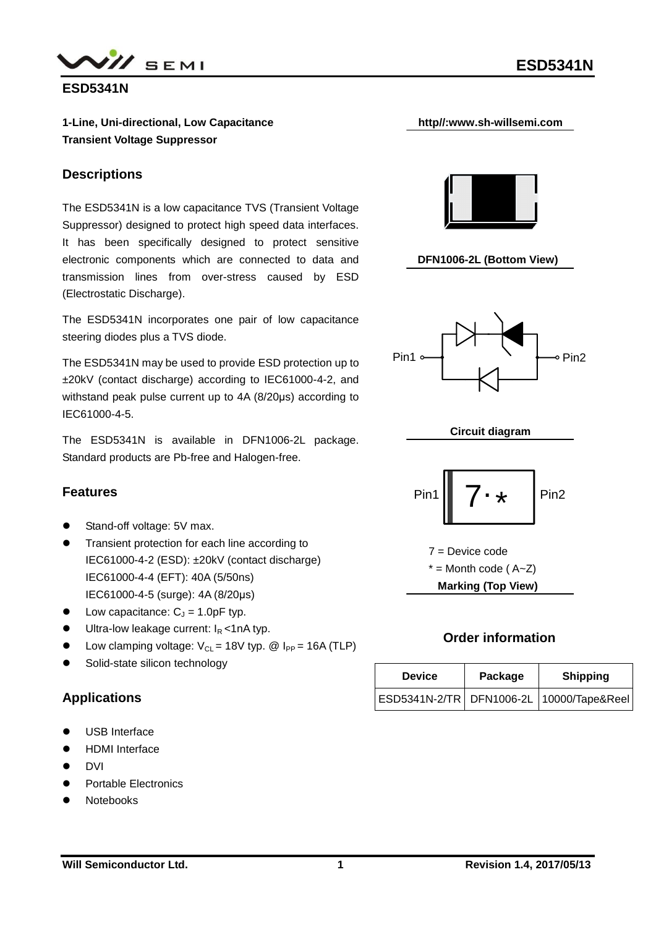



**ESD5341N**

**1-Line, Uni-directional, Low Capacitance Transient Voltage Suppressor**

#### **Descriptions**

The ESD5341N is a low capacitance TVS (Transient Voltage Suppressor) designed to protect high speed data interfaces. It has been specifically designed to protect sensitive electronic components which are connected to data and transmission lines from over-stress caused by ESD (Electrostatic Discharge).

The ESD5341N incorporates one pair of low capacitance steering diodes plus a TVS diode.

The ESD5341N may be used to provide ESD protection up to ±20kV (contact discharge) according to IEC61000-4-2, and withstand peak pulse current up to 4A (8/20μs) according to IEC61000-4-5.

The ESD5341N is available in DFN1006-2L package. Standard products are Pb-free and Halogen-free.

### **Features**

- Stand-off voltage: 5V max.
- **•** Transient protection for each line according to IEC61000-4-2 (ESD): ±20kV (contact discharge) IEC61000-4-4 (EFT): 40A (5/50ns) IEC61000-4-5 (surge): 4A (8/20μs)
- $\bullet$  Low capacitance:  $C_J = 1.0$ pF typ.
- $\bullet$  Ultra-low leakage current:  $I_R < 1 \text{ nA}$  typ.
- Low clamping voltage:  $V_{CL} = 18V$  typ. @  $I_{PP} = 16A$  (TLP)
- Solid-state silicon technology

#### **Applications**

- USB Interface
- HDMI Interface
- DVI
- Portable Electronics
- Notebooks



**http//:www.sh-willsemi.com**











#### **Order information**

| <b>Device</b> | Package | <b>Shipping</b>                              |  |  |
|---------------|---------|----------------------------------------------|--|--|
|               |         | ESD5341N-2/TR   DFN1006-2L   10000/Tape&Reel |  |  |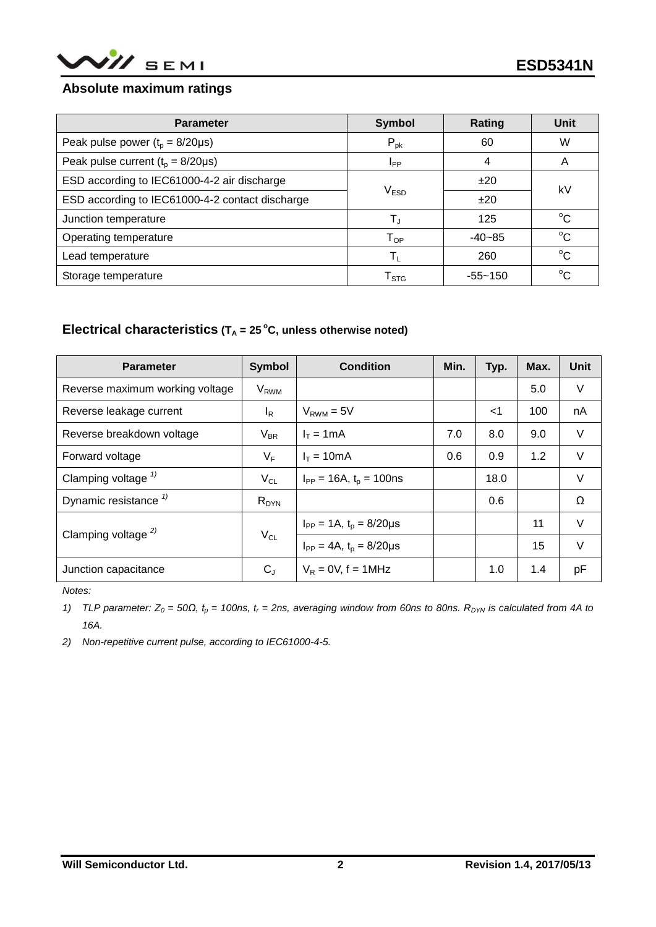

#### **Absolute maximum ratings**

| <b>Parameter</b>                                | <b>Symbol</b>               | Rating      | Unit        |  |
|-------------------------------------------------|-----------------------------|-------------|-------------|--|
| Peak pulse power $(t_0 = 8/20 \mu s)$           | $P_{\text{pk}}$             | 60          | W           |  |
| Peak pulse current $(t_p = 8/20 \mu s)$         | I <sub>PP</sub>             | 4           | A           |  |
| ESD according to IEC61000-4-2 air discharge     |                             | ±20         | kV          |  |
| ESD according to IEC61000-4-2 contact discharge | V <sub>ESD</sub>            | ±20         |             |  |
| Junction temperature                            | $T_{\rm J}$                 | 125         | $^{\circ}C$ |  |
| Operating temperature                           | $T_{OP}$                    | $-40-85$    | $^{\circ}C$ |  |
| Lead temperature                                | $\mathsf{T}_1$              | 260         | $^{\circ}C$ |  |
| Storage temperature                             | $\mathsf{T}_{\textsf{STG}}$ | $-55 - 150$ | $^{\circ}C$ |  |

## **Electrical characteristics**  $(T_A = 25^\circ C,$  unless otherwise noted)

| <b>Parameter</b>                 | <b>Symbol</b>          | <b>Condition</b>                   | Min. | Typ.  | Max. | Unit     |
|----------------------------------|------------------------|------------------------------------|------|-------|------|----------|
| Reverse maximum working voltage  | <b>V<sub>RWM</sub></b> |                                    |      |       | 5.0  | V        |
| Reverse leakage current          | $I_R$                  | $V_{RWM} = 5V$                     |      | $<$ 1 | 100  | nA       |
| Reverse breakdown voltage        | $V_{BR}$               | $I_T = 1mA$                        | 7.0  | 8.0   | 9.0  | V        |
| Forward voltage                  | $V_F$                  | $I_T = 10mA$                       | 0.6  | 0.9   | 1.2  | V        |
| Clamping voltage $\frac{1}{2}$   | $V_{CL}$               | $I_{PP} = 16A$ , $t_p = 100$ ns    |      | 18.0  |      | V        |
| Dynamic resistance $\frac{1}{2}$ | $R_{DYN}$              |                                    |      | 0.6   |      | $\Omega$ |
| Clamping voltage $^{2)}$         | $V_{CL}$               | $I_{PP} = 1A$ , $t_p = 8/20 \mu s$ |      |       | 11   | $\vee$   |
|                                  |                        | $I_{PP} = 4A$ , $t_p = 8/20 \mu s$ |      |       | 15   | $\vee$   |
| Junction capacitance             | $C_{J}$                | $V_R = 0V$ , f = 1MHz              |      | 1.0   | 1.4  | pF       |

*Notes:*

*1) TLP parameter: Z<sup>0</sup> = 50Ω, t<sup>p</sup> = 100ns, t<sup>r</sup> = 2ns, averaging window from 60ns to 80ns. RDYN is calculated from 4A to 16A.*

*2) Non-repetitive current pulse, according to IEC61000-4-5.*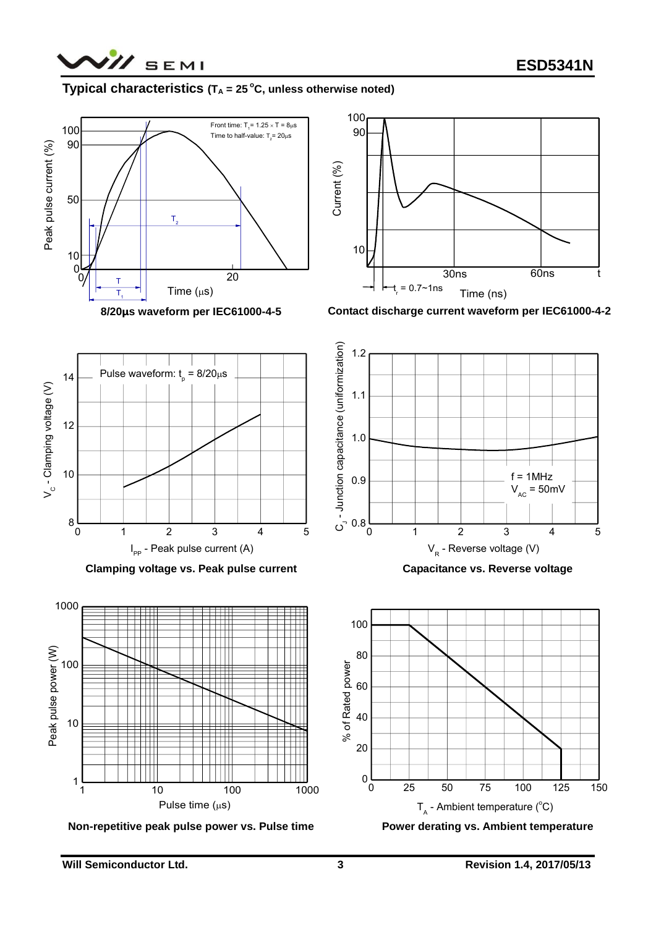

## **Typical characteristics**  $(T_A = 25^\circ \text{C}, \text{unless otherwise noted})$



 $14 \longrightarrow$  Pulse waveform:  $t_p = 8/20 \mu s \longrightarrow$ 

**8/20μs waveform per IEC61000-4-5**



**Contact discharge current waveform per IEC61000-4-2**



**Clamping voltage vs. Peak pulse current**  $I_{\text{pp}}$  - Peak pulse current (A)



**Non-repetitive peak pulse power vs. Pulse time**

**Capacitance vs. Reverse voltage**



**Power derating vs. Ambient temperature**

8

10

12

 $V_c$  - Clamping voltage  $(V)$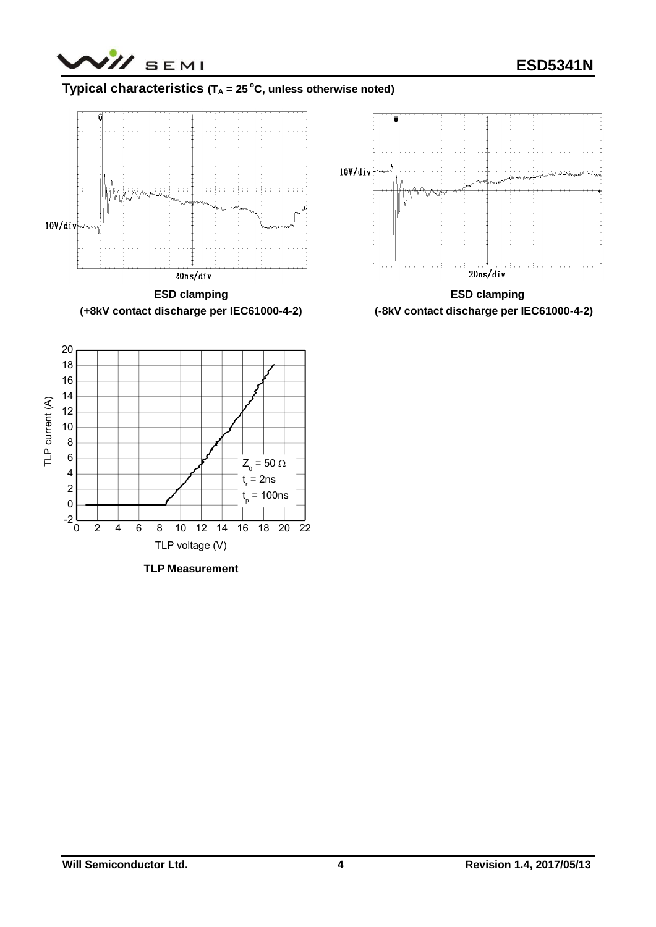## **Typical characteristics**  $(T_A = 25^\circ C, \text{ unless otherwise noted})$



**(+8kV contact discharge per IEC61000-4-2)**



**TLP Measurement**



**ESD clamping (-8kV contact discharge per IEC61000-4-2)**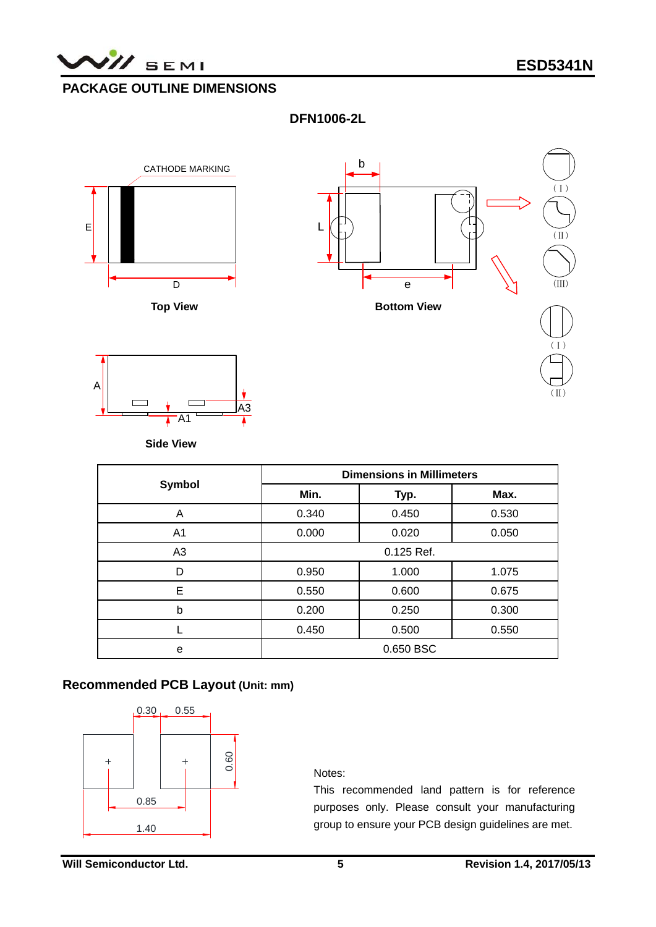

# **PACKAGE OUTLINE DIMENSIONS**

**DFN1006-2L** 







**Side View**

|        | <b>Dimensions in Millimeters</b> |       |       |  |
|--------|----------------------------------|-------|-------|--|
| Symbol | Min.                             | Typ.  | Max.  |  |
| A      | 0.340                            | 0.450 | 0.530 |  |
| A1     | 0.000<br>0.020                   |       | 0.050 |  |
| A3     | 0.125 Ref.                       |       |       |  |
| D      | 0.950                            | 1.000 | 1.075 |  |
| E      | 0.550                            | 0.600 | 0.675 |  |
| b      | 0.200<br>0.250                   |       | 0.300 |  |
|        | 0.450                            | 0.500 | 0.550 |  |
| e      | 0.650 BSC                        |       |       |  |

#### **Recommended PCB Layout (Unit: mm)**



Notes:

This recommended land pattern is for reference purposes only. Please consult your manufacturing group to ensure your PCB design guidelines are met.